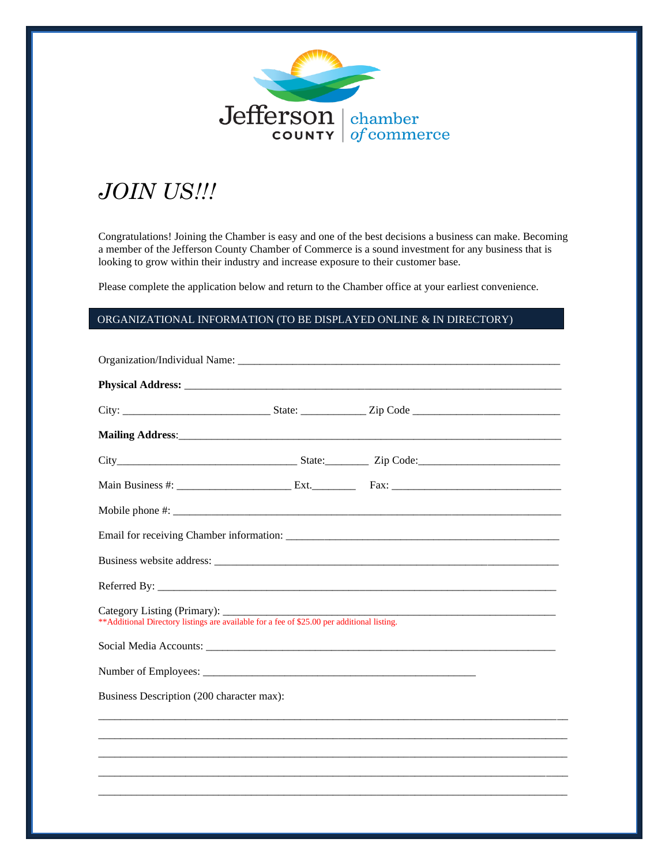

## *JOIN US!!!*

Congratulations! Joining the Chamber is easy and one of the best decisions a business can make. Becoming a member of the Jefferson County Chamber of Commerce is a sound investment for any business that is looking to grow within their industry and increase exposure to their customer base.

Please complete the application below and return to the Chamber office at your earliest convenience.

## ORGANIZATIONAL INFORMATION (TO BE DISPLAYED ONLINE & IN DIRECTORY)

| ** Additional Directory listings are available for a fee of \$25.00 per additional listing. |  |  |
|---------------------------------------------------------------------------------------------|--|--|
|                                                                                             |  |  |
|                                                                                             |  |  |
| Business Description (200 character max):                                                   |  |  |
|                                                                                             |  |  |
|                                                                                             |  |  |
|                                                                                             |  |  |
|                                                                                             |  |  |
|                                                                                             |  |  |